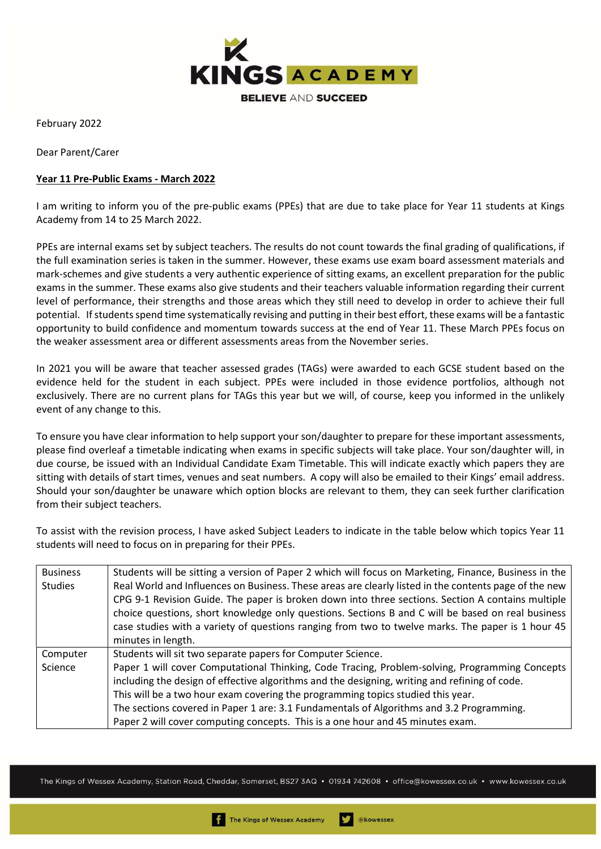

February 2022

Dear Parent/Carer

## Year 11 Pre-Public Exams - March 2022

I am writing to inform you of the pre-public exams (PPEs) that are due to take place for Year 11 students at Kings Academy from 14 to 25 March 2022.

PPEs are internal exams set by subject teachers. The results do not count towards the final grading of qualifications, if the full examination series is taken in the summer. However, these exams use exam board assessment materials and mark-schemes and give students a very authentic experience of sitting exams, an excellent preparation for the public exams in the summer. These exams also give students and their teachers valuable information regarding their current level of performance, their strengths and those areas which they still need to develop in order to achieve their full potential. If students spend time systematically revising and putting in their best effort, these exams will be a fantastic opportunity to build confidence and momentum towards success at the end of Year 11. These March PPEs focus on the weaker assessment area or different assessments areas from the November series.

In 2021 you will be aware that teacher assessed grades (TAGs) were awarded to each GCSE student based on the evidence held for the student in each subject. PPEs were included in those evidence portfolios, although not exclusively. There are no current plans for TAGs this year but we will, of course, keep you informed in the unlikely event of any change to this.

To ensure you have clear information to help support your son/daughter to prepare for these important assessments, please find overleaf a timetable indicating when exams in specific subjects will take place. Your son/daughter will, in due course, be issued with an Individual Candidate Exam Timetable. This will indicate exactly which papers they are sitting with details of start times, venues and seat numbers. A copy will also be emailed to their Kings' email address. Should your son/daughter be unaware which option blocks are relevant to them, they can seek further clarification from their subject teachers.

To assist with the revision process, I have asked Subject Leaders to indicate in the table below which topics Year 11 students will need to focus on in preparing for their PPEs.

| <b>Business</b> | Students will be sitting a version of Paper 2 which will focus on Marketing, Finance, Business in the |  |  |  |  |  |  |  |
|-----------------|-------------------------------------------------------------------------------------------------------|--|--|--|--|--|--|--|
| <b>Studies</b>  | Real World and Influences on Business. These areas are clearly listed in the contents page of the new |  |  |  |  |  |  |  |
|                 | CPG 9-1 Revision Guide. The paper is broken down into three sections. Section A contains multiple     |  |  |  |  |  |  |  |
|                 | choice questions, short knowledge only questions. Sections B and C will be based on real business     |  |  |  |  |  |  |  |
|                 | case studies with a variety of questions ranging from two to twelve marks. The paper is 1 hour 45     |  |  |  |  |  |  |  |
|                 | minutes in length.                                                                                    |  |  |  |  |  |  |  |
|                 |                                                                                                       |  |  |  |  |  |  |  |
| Computer        | Students will sit two separate papers for Computer Science.                                           |  |  |  |  |  |  |  |
| Science         | Paper 1 will cover Computational Thinking, Code Tracing, Problem-solving, Programming Concepts        |  |  |  |  |  |  |  |
|                 | including the design of effective algorithms and the designing, writing and refining of code.         |  |  |  |  |  |  |  |
|                 | This will be a two hour exam covering the programming topics studied this year.                       |  |  |  |  |  |  |  |
|                 | The sections covered in Paper 1 are: 3.1 Fundamentals of Algorithms and 3.2 Programming.              |  |  |  |  |  |  |  |

The Kings of Wessex Academy, Station Road, Cheddar, Somerset, BS27 3AQ • 01934 742608 • office@kowessex.co.uk • www.kowessex.co.uk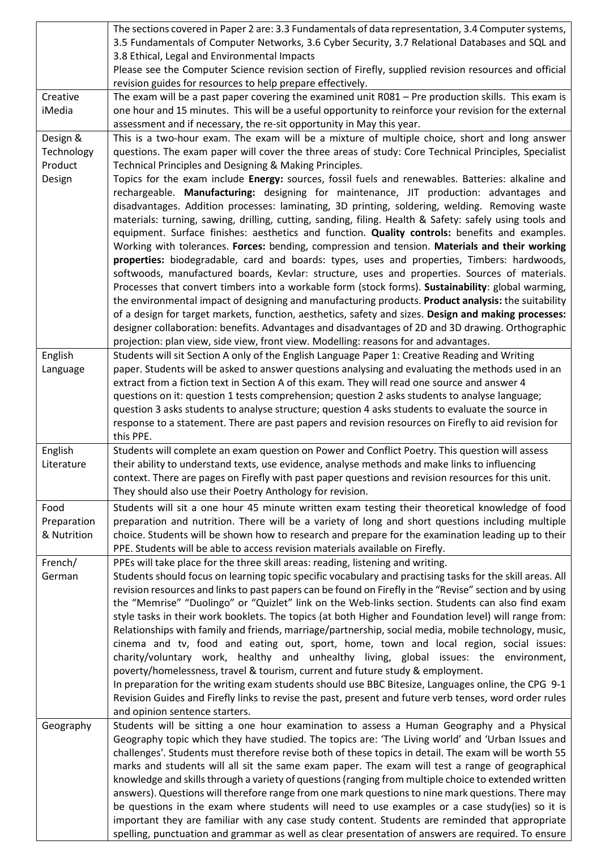|                                    | The sections covered in Paper 2 are: 3.3 Fundamentals of data representation, 3.4 Computer systems,<br>3.5 Fundamentals of Computer Networks, 3.6 Cyber Security, 3.7 Relational Databases and SQL and<br>3.8 Ethical, Legal and Environmental Impacts                                                                                                                                                                                                                                                                                                                                                                                                                                                                                                                                                                                                                                                                                                                                                                                                                                                                                                |  |  |  |  |  |  |  |
|------------------------------------|-------------------------------------------------------------------------------------------------------------------------------------------------------------------------------------------------------------------------------------------------------------------------------------------------------------------------------------------------------------------------------------------------------------------------------------------------------------------------------------------------------------------------------------------------------------------------------------------------------------------------------------------------------------------------------------------------------------------------------------------------------------------------------------------------------------------------------------------------------------------------------------------------------------------------------------------------------------------------------------------------------------------------------------------------------------------------------------------------------------------------------------------------------|--|--|--|--|--|--|--|
|                                    | Please see the Computer Science revision section of Firefly, supplied revision resources and official<br>revision guides for resources to help prepare effectively.                                                                                                                                                                                                                                                                                                                                                                                                                                                                                                                                                                                                                                                                                                                                                                                                                                                                                                                                                                                   |  |  |  |  |  |  |  |
| Creative<br>iMedia                 | The exam will be a past paper covering the examined unit R081 - Pre production skills. This exam is<br>one hour and 15 minutes. This will be a useful opportunity to reinforce your revision for the external<br>assessment and if necessary, the re-sit opportunity in May this year.                                                                                                                                                                                                                                                                                                                                                                                                                                                                                                                                                                                                                                                                                                                                                                                                                                                                |  |  |  |  |  |  |  |
| Design &<br>Technology             | This is a two-hour exam. The exam will be a mixture of multiple choice, short and long answer<br>questions. The exam paper will cover the three areas of study: Core Technical Principles, Specialist                                                                                                                                                                                                                                                                                                                                                                                                                                                                                                                                                                                                                                                                                                                                                                                                                                                                                                                                                 |  |  |  |  |  |  |  |
| Product                            | Technical Principles and Designing & Making Principles.                                                                                                                                                                                                                                                                                                                                                                                                                                                                                                                                                                                                                                                                                                                                                                                                                                                                                                                                                                                                                                                                                               |  |  |  |  |  |  |  |
| Design                             | Topics for the exam include Energy: sources, fossil fuels and renewables. Batteries: alkaline and<br>rechargeable. Manufacturing: designing for maintenance, JIT production: advantages and<br>disadvantages. Addition processes: laminating, 3D printing, soldering, welding. Removing waste<br>materials: turning, sawing, drilling, cutting, sanding, filing. Health & Safety: safely using tools and<br>equipment. Surface finishes: aesthetics and function. Quality controls: benefits and examples.<br>Working with tolerances. Forces: bending, compression and tension. Materials and their working<br>properties: biodegradable, card and boards: types, uses and properties, Timbers: hardwoods,                                                                                                                                                                                                                                                                                                                                                                                                                                           |  |  |  |  |  |  |  |
|                                    | softwoods, manufactured boards, Kevlar: structure, uses and properties. Sources of materials.<br>Processes that convert timbers into a workable form (stock forms). Sustainability: global warming,<br>the environmental impact of designing and manufacturing products. Product analysis: the suitability<br>of a design for target markets, function, aesthetics, safety and sizes. Design and making processes:<br>designer collaboration: benefits. Advantages and disadvantages of 2D and 3D drawing. Orthographic                                                                                                                                                                                                                                                                                                                                                                                                                                                                                                                                                                                                                               |  |  |  |  |  |  |  |
| English                            | projection: plan view, side view, front view. Modelling: reasons for and advantages.<br>Students will sit Section A only of the English Language Paper 1: Creative Reading and Writing                                                                                                                                                                                                                                                                                                                                                                                                                                                                                                                                                                                                                                                                                                                                                                                                                                                                                                                                                                |  |  |  |  |  |  |  |
| Language                           | paper. Students will be asked to answer questions analysing and evaluating the methods used in an<br>extract from a fiction text in Section A of this exam. They will read one source and answer 4<br>questions on it: question 1 tests comprehension; question 2 asks students to analyse language;                                                                                                                                                                                                                                                                                                                                                                                                                                                                                                                                                                                                                                                                                                                                                                                                                                                  |  |  |  |  |  |  |  |
|                                    | question 3 asks students to analyse structure; question 4 asks students to evaluate the source in<br>response to a statement. There are past papers and revision resources on Firefly to aid revision for<br>this PPE.                                                                                                                                                                                                                                                                                                                                                                                                                                                                                                                                                                                                                                                                                                                                                                                                                                                                                                                                |  |  |  |  |  |  |  |
| English<br>Literature              | Students will complete an exam question on Power and Conflict Poetry. This question will assess<br>their ability to understand texts, use evidence, analyse methods and make links to influencing<br>context. There are pages on Firefly with past paper questions and revision resources for this unit.<br>They should also use their Poetry Anthology for revision.                                                                                                                                                                                                                                                                                                                                                                                                                                                                                                                                                                                                                                                                                                                                                                                 |  |  |  |  |  |  |  |
| Food<br>Preparation<br>& Nutrition | Students will sit a one hour 45 minute written exam testing their theoretical knowledge of food<br>preparation and nutrition. There will be a variety of long and short questions including multiple<br>choice. Students will be shown how to research and prepare for the examination leading up to their<br>PPE. Students will be able to access revision materials available on Firefly.                                                                                                                                                                                                                                                                                                                                                                                                                                                                                                                                                                                                                                                                                                                                                           |  |  |  |  |  |  |  |
| French/<br>German                  | PPEs will take place for the three skill areas: reading, listening and writing.<br>Students should focus on learning topic specific vocabulary and practising tasks for the skill areas. All<br>revision resources and links to past papers can be found on Firefly in the "Revise" section and by using<br>the "Memrise" "Duolingo" or "Quizlet" link on the Web-links section. Students can also find exam<br>style tasks in their work booklets. The topics (at both Higher and Foundation level) will range from:<br>Relationships with family and friends, marriage/partnership, social media, mobile technology, music,<br>cinema and tv, food and eating out, sport, home, town and local region, social issues:<br>charity/voluntary work, healthy and unhealthy living, global issues: the environment,<br>poverty/homelessness, travel & tourism, current and future study & employment.<br>In preparation for the writing exam students should use BBC Bitesize, Languages online, the CPG 9-1<br>Revision Guides and Firefly links to revise the past, present and future verb tenses, word order rules<br>and opinion sentence starters. |  |  |  |  |  |  |  |
| Geography                          | Students will be sitting a one hour examination to assess a Human Geography and a Physical<br>Geography topic which they have studied. The topics are: 'The Living world' and 'Urban Issues and<br>challenges'. Students must therefore revise both of these topics in detail. The exam will be worth 55<br>marks and students will all sit the same exam paper. The exam will test a range of geographical<br>knowledge and skills through a variety of questions (ranging from multiple choice to extended written<br>answers). Questions will therefore range from one mark questions to nine mark questions. There may<br>be questions in the exam where students will need to use examples or a case study(ies) so it is<br>important they are familiar with any case study content. Students are reminded that appropriate<br>spelling, punctuation and grammar as well as clear presentation of answers are required. To ensure                                                                                                                                                                                                                |  |  |  |  |  |  |  |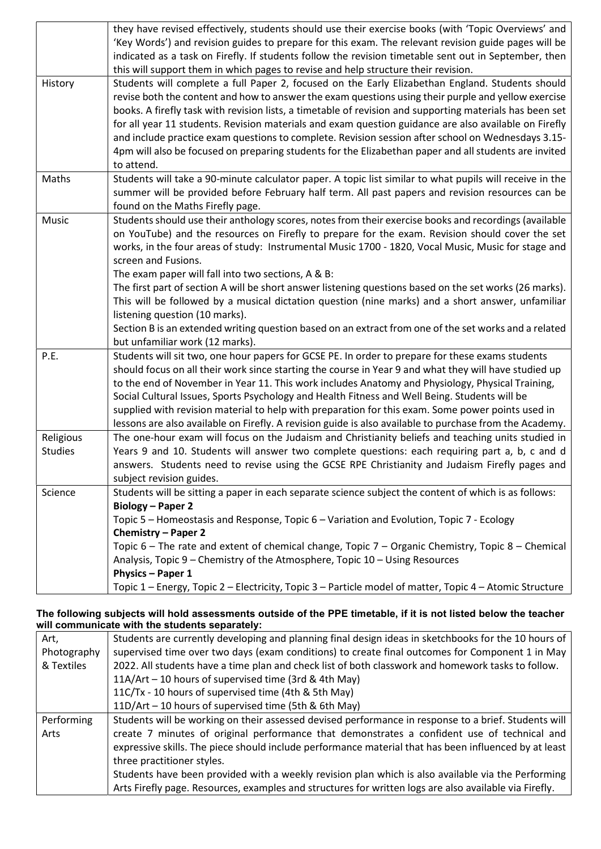|                | they have revised effectively, students should use their exercise books (with 'Topic Overviews' and      |  |  |  |  |  |  |  |
|----------------|----------------------------------------------------------------------------------------------------------|--|--|--|--|--|--|--|
|                | 'Key Words') and revision guides to prepare for this exam. The relevant revision guide pages will be     |  |  |  |  |  |  |  |
|                | indicated as a task on Firefly. If students follow the revision timetable sent out in September, then    |  |  |  |  |  |  |  |
|                | this will support them in which pages to revise and help structure their revision.                       |  |  |  |  |  |  |  |
| History        | Students will complete a full Paper 2, focused on the Early Elizabethan England. Students should         |  |  |  |  |  |  |  |
|                | revise both the content and how to answer the exam questions using their purple and yellow exercise      |  |  |  |  |  |  |  |
|                | books. A firefly task with revision lists, a timetable of revision and supporting materials has been set |  |  |  |  |  |  |  |
|                | for all year 11 students. Revision materials and exam question guidance are also available on Firefly    |  |  |  |  |  |  |  |
|                | and include practice exam questions to complete. Revision session after school on Wednesdays 3.15-       |  |  |  |  |  |  |  |
|                | 4pm will also be focused on preparing students for the Elizabethan paper and all students are invited    |  |  |  |  |  |  |  |
|                | to attend.                                                                                               |  |  |  |  |  |  |  |
| Maths          | Students will take a 90-minute calculator paper. A topic list similar to what pupils will receive in the |  |  |  |  |  |  |  |
|                | summer will be provided before February half term. All past papers and revision resources can be         |  |  |  |  |  |  |  |
|                | found on the Maths Firefly page.                                                                         |  |  |  |  |  |  |  |
| Music          | Students should use their anthology scores, notes from their exercise books and recordings (available    |  |  |  |  |  |  |  |
|                | on YouTube) and the resources on Firefly to prepare for the exam. Revision should cover the set          |  |  |  |  |  |  |  |
|                | works, in the four areas of study: Instrumental Music 1700 - 1820, Vocal Music, Music for stage and      |  |  |  |  |  |  |  |
|                | screen and Fusions.                                                                                      |  |  |  |  |  |  |  |
|                |                                                                                                          |  |  |  |  |  |  |  |
|                | The exam paper will fall into two sections, A & B:                                                       |  |  |  |  |  |  |  |
|                | The first part of section A will be short answer listening questions based on the set works (26 marks).  |  |  |  |  |  |  |  |
|                | This will be followed by a musical dictation question (nine marks) and a short answer, unfamiliar        |  |  |  |  |  |  |  |
|                | listening question (10 marks).                                                                           |  |  |  |  |  |  |  |
|                | Section B is an extended writing question based on an extract from one of the set works and a related    |  |  |  |  |  |  |  |
|                | but unfamiliar work (12 marks).                                                                          |  |  |  |  |  |  |  |
| P.E.           | Students will sit two, one hour papers for GCSE PE. In order to prepare for these exams students         |  |  |  |  |  |  |  |
|                | should focus on all their work since starting the course in Year 9 and what they will have studied up    |  |  |  |  |  |  |  |
|                | to the end of November in Year 11. This work includes Anatomy and Physiology, Physical Training,         |  |  |  |  |  |  |  |
|                | Social Cultural Issues, Sports Psychology and Health Fitness and Well Being. Students will be            |  |  |  |  |  |  |  |
|                | supplied with revision material to help with preparation for this exam. Some power points used in        |  |  |  |  |  |  |  |
|                | lessons are also available on Firefly. A revision guide is also available to purchase from the Academy.  |  |  |  |  |  |  |  |
| Religious      | The one-hour exam will focus on the Judaism and Christianity beliefs and teaching units studied in       |  |  |  |  |  |  |  |
| <b>Studies</b> | Years 9 and 10. Students will answer two complete questions: each requiring part a, b, c and d           |  |  |  |  |  |  |  |
|                | answers. Students need to revise using the GCSE RPE Christianity and Judaism Firefly pages and           |  |  |  |  |  |  |  |
|                | subject revision guides.                                                                                 |  |  |  |  |  |  |  |
| Science        | Students will be sitting a paper in each separate science subject the content of which is as follows:    |  |  |  |  |  |  |  |
|                | <b>Biology - Paper 2</b>                                                                                 |  |  |  |  |  |  |  |
|                | Topic 5 – Homeostasis and Response, Topic 6 – Variation and Evolution, Topic 7 - Ecology                 |  |  |  |  |  |  |  |
|                | Chemistry - Paper 2                                                                                      |  |  |  |  |  |  |  |
|                | Topic 6 – The rate and extent of chemical change, Topic 7 – Organic Chemistry, Topic 8 – Chemical        |  |  |  |  |  |  |  |
|                | Analysis, Topic 9 – Chemistry of the Atmosphere, Topic 10 – Using Resources                              |  |  |  |  |  |  |  |
|                | Physics - Paper 1                                                                                        |  |  |  |  |  |  |  |
|                | Topic 1 – Energy, Topic 2 – Electricity, Topic 3 – Particle model of matter, Topic 4 – Atomic Structure  |  |  |  |  |  |  |  |

## The following subjects will hold assessments outside of the PPE timetable, if it is not listed below the teacher will communicate with the students separately:

| Art,        | Students are currently developing and planning final design ideas in sketchbooks for the 10 hours of   |  |  |  |  |  |  |  |
|-------------|--------------------------------------------------------------------------------------------------------|--|--|--|--|--|--|--|
| Photography | supervised time over two days (exam conditions) to create final outcomes for Component 1 in May        |  |  |  |  |  |  |  |
| & Textiles  | 2022. All students have a time plan and check list of both classwork and homework tasks to follow.     |  |  |  |  |  |  |  |
|             | 11A/Art - 10 hours of supervised time (3rd & 4th May)                                                  |  |  |  |  |  |  |  |
|             | 11C/Tx - 10 hours of supervised time (4th & 5th May)                                                   |  |  |  |  |  |  |  |
|             | 11D/Art - 10 hours of supervised time (5th & 6th May)                                                  |  |  |  |  |  |  |  |
| Performing  | Students will be working on their assessed devised performance in response to a brief. Students will   |  |  |  |  |  |  |  |
| Arts        | create 7 minutes of original performance that demonstrates a confident use of technical and            |  |  |  |  |  |  |  |
|             | expressive skills. The piece should include performance material that has been influenced by at least  |  |  |  |  |  |  |  |
|             | three practitioner styles.                                                                             |  |  |  |  |  |  |  |
|             | Students have been provided with a weekly revision plan which is also available via the Performing     |  |  |  |  |  |  |  |
|             | Arts Firefly page. Resources, examples and structures for written logs are also available via Firefly. |  |  |  |  |  |  |  |